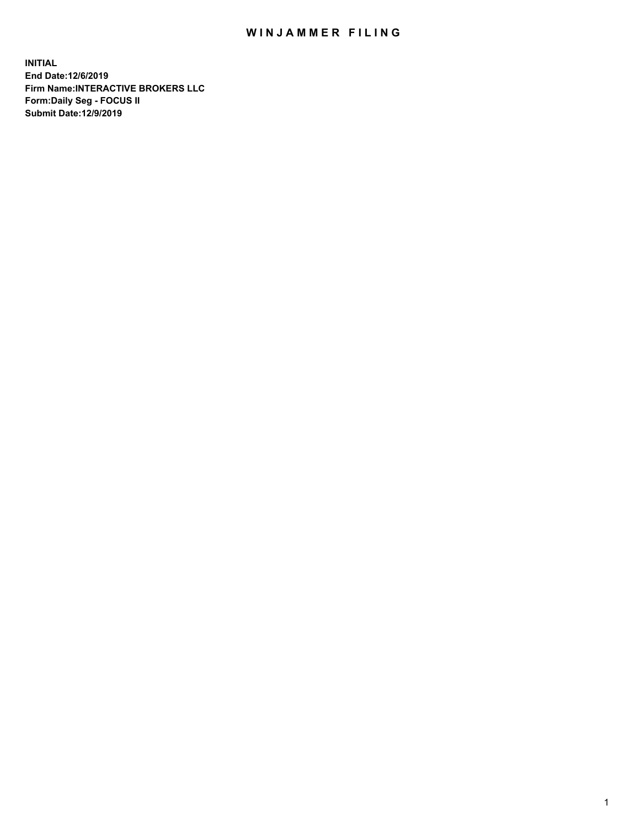## WIN JAMMER FILING

**INITIAL End Date:12/6/2019 Firm Name:INTERACTIVE BROKERS LLC Form:Daily Seg - FOCUS II Submit Date:12/9/2019**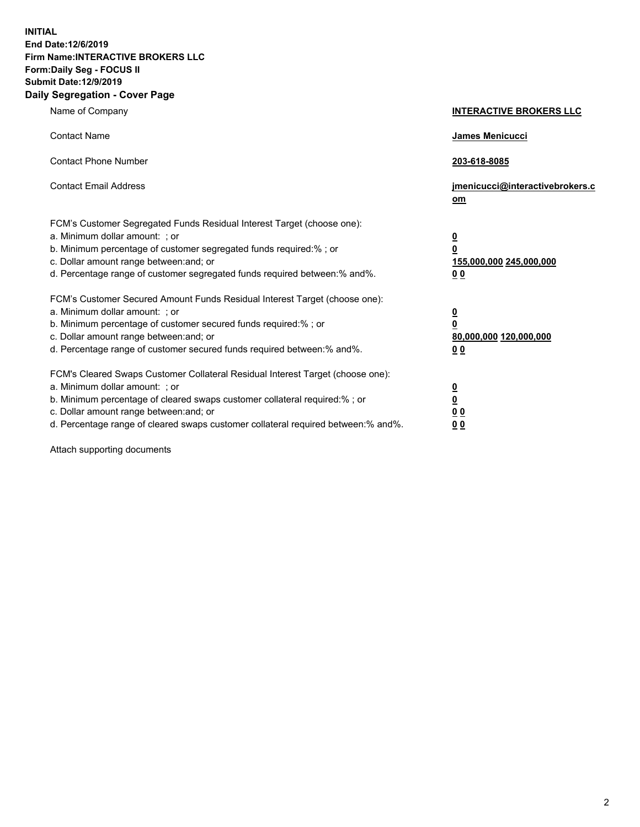**INITIAL End Date:12/6/2019 Firm Name:INTERACTIVE BROKERS LLC Form:Daily Seg - FOCUS II Submit Date:12/9/2019 Daily Segregation - Cover Page**

| Name of Company                                                                                                                                                                                                                                                                                                                | <b>INTERACTIVE BROKERS LLC</b>                                                                  |
|--------------------------------------------------------------------------------------------------------------------------------------------------------------------------------------------------------------------------------------------------------------------------------------------------------------------------------|-------------------------------------------------------------------------------------------------|
| <b>Contact Name</b>                                                                                                                                                                                                                                                                                                            | James Menicucci                                                                                 |
| <b>Contact Phone Number</b>                                                                                                                                                                                                                                                                                                    | 203-618-8085                                                                                    |
| <b>Contact Email Address</b>                                                                                                                                                                                                                                                                                                   | jmenicucci@interactivebrokers.c<br>om                                                           |
| FCM's Customer Segregated Funds Residual Interest Target (choose one):<br>a. Minimum dollar amount: ; or<br>b. Minimum percentage of customer segregated funds required:% ; or<br>c. Dollar amount range between: and; or<br>d. Percentage range of customer segregated funds required between:% and%.                         | $\overline{\mathbf{0}}$<br>$\overline{\mathbf{0}}$<br>155,000,000 245,000,000<br>0 <sub>0</sub> |
| FCM's Customer Secured Amount Funds Residual Interest Target (choose one):<br>a. Minimum dollar amount: ; or<br>b. Minimum percentage of customer secured funds required:% ; or<br>c. Dollar amount range between: and; or<br>d. Percentage range of customer secured funds required between:% and%.                           | $\overline{\mathbf{0}}$<br>0<br>80,000,000 120,000,000<br>0 <sub>0</sub>                        |
| FCM's Cleared Swaps Customer Collateral Residual Interest Target (choose one):<br>a. Minimum dollar amount: ; or<br>b. Minimum percentage of cleared swaps customer collateral required:% ; or<br>c. Dollar amount range between: and; or<br>d. Percentage range of cleared swaps customer collateral required between:% and%. | $\overline{\mathbf{0}}$<br><u>0</u><br>$\underline{0}$ $\underline{0}$<br>00                    |

Attach supporting documents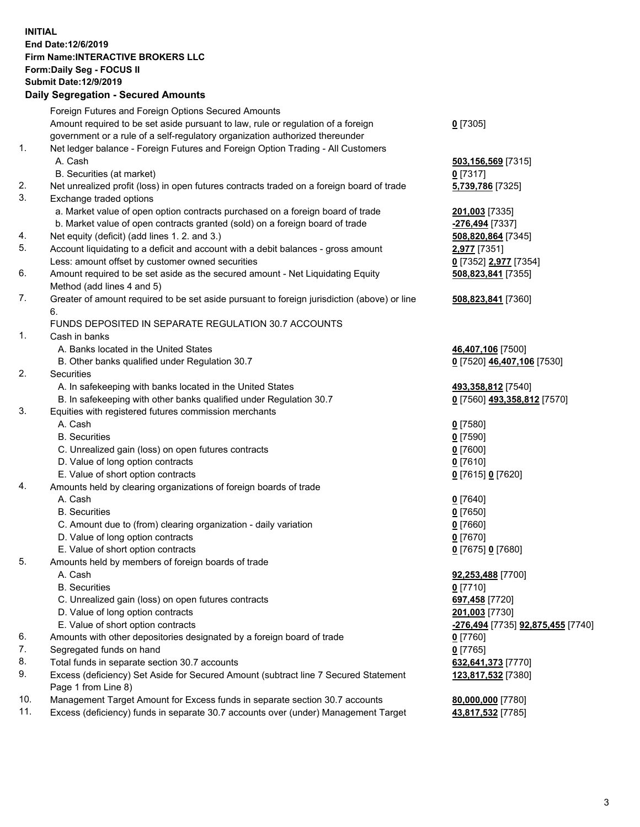## **INITIAL End Date:12/6/2019 Firm Name:INTERACTIVE BROKERS LLC Form:Daily Seg - FOCUS II Submit Date:12/9/2019 Daily Segregation - Secured Amounts**

| Foreign Futures and Foreign Options Secured Amounts                                       |                                                                                                                                                                                                                                                                                                                                                                                                                                                                                                                                                                                                                                                                                                                                                                                                                                                                                                                                                                                                                                                                                                                                                                                                                                                                                                                                                                                                                                                                                                                                                                                                                                                                                                                                            |
|-------------------------------------------------------------------------------------------|--------------------------------------------------------------------------------------------------------------------------------------------------------------------------------------------------------------------------------------------------------------------------------------------------------------------------------------------------------------------------------------------------------------------------------------------------------------------------------------------------------------------------------------------------------------------------------------------------------------------------------------------------------------------------------------------------------------------------------------------------------------------------------------------------------------------------------------------------------------------------------------------------------------------------------------------------------------------------------------------------------------------------------------------------------------------------------------------------------------------------------------------------------------------------------------------------------------------------------------------------------------------------------------------------------------------------------------------------------------------------------------------------------------------------------------------------------------------------------------------------------------------------------------------------------------------------------------------------------------------------------------------------------------------------------------------------------------------------------------------|
| Amount required to be set aside pursuant to law, rule or regulation of a foreign          | $0$ [7305]                                                                                                                                                                                                                                                                                                                                                                                                                                                                                                                                                                                                                                                                                                                                                                                                                                                                                                                                                                                                                                                                                                                                                                                                                                                                                                                                                                                                                                                                                                                                                                                                                                                                                                                                 |
| government or a rule of a self-regulatory organization authorized thereunder              |                                                                                                                                                                                                                                                                                                                                                                                                                                                                                                                                                                                                                                                                                                                                                                                                                                                                                                                                                                                                                                                                                                                                                                                                                                                                                                                                                                                                                                                                                                                                                                                                                                                                                                                                            |
| Net ledger balance - Foreign Futures and Foreign Option Trading - All Customers           |                                                                                                                                                                                                                                                                                                                                                                                                                                                                                                                                                                                                                                                                                                                                                                                                                                                                                                                                                                                                                                                                                                                                                                                                                                                                                                                                                                                                                                                                                                                                                                                                                                                                                                                                            |
| A. Cash                                                                                   | 503,156,569 [7315]                                                                                                                                                                                                                                                                                                                                                                                                                                                                                                                                                                                                                                                                                                                                                                                                                                                                                                                                                                                                                                                                                                                                                                                                                                                                                                                                                                                                                                                                                                                                                                                                                                                                                                                         |
| B. Securities (at market)                                                                 | $0$ [7317]                                                                                                                                                                                                                                                                                                                                                                                                                                                                                                                                                                                                                                                                                                                                                                                                                                                                                                                                                                                                                                                                                                                                                                                                                                                                                                                                                                                                                                                                                                                                                                                                                                                                                                                                 |
| Net unrealized profit (loss) in open futures contracts traded on a foreign board of trade | 5,739,786 [7325]                                                                                                                                                                                                                                                                                                                                                                                                                                                                                                                                                                                                                                                                                                                                                                                                                                                                                                                                                                                                                                                                                                                                                                                                                                                                                                                                                                                                                                                                                                                                                                                                                                                                                                                           |
| Exchange traded options                                                                   |                                                                                                                                                                                                                                                                                                                                                                                                                                                                                                                                                                                                                                                                                                                                                                                                                                                                                                                                                                                                                                                                                                                                                                                                                                                                                                                                                                                                                                                                                                                                                                                                                                                                                                                                            |
| a. Market value of open option contracts purchased on a foreign board of trade            | 201,003 [7335]                                                                                                                                                                                                                                                                                                                                                                                                                                                                                                                                                                                                                                                                                                                                                                                                                                                                                                                                                                                                                                                                                                                                                                                                                                                                                                                                                                                                                                                                                                                                                                                                                                                                                                                             |
| b. Market value of open contracts granted (sold) on a foreign board of trade              | -276,494 [7337]                                                                                                                                                                                                                                                                                                                                                                                                                                                                                                                                                                                                                                                                                                                                                                                                                                                                                                                                                                                                                                                                                                                                                                                                                                                                                                                                                                                                                                                                                                                                                                                                                                                                                                                            |
| Net equity (deficit) (add lines 1. 2. and 3.)                                             | 508,820,864 [7345]                                                                                                                                                                                                                                                                                                                                                                                                                                                                                                                                                                                                                                                                                                                                                                                                                                                                                                                                                                                                                                                                                                                                                                                                                                                                                                                                                                                                                                                                                                                                                                                                                                                                                                                         |
|                                                                                           | 2,977 [7351]                                                                                                                                                                                                                                                                                                                                                                                                                                                                                                                                                                                                                                                                                                                                                                                                                                                                                                                                                                                                                                                                                                                                                                                                                                                                                                                                                                                                                                                                                                                                                                                                                                                                                                                               |
| Less: amount offset by customer owned securities                                          | 0 [7352] 2,977 [7354]                                                                                                                                                                                                                                                                                                                                                                                                                                                                                                                                                                                                                                                                                                                                                                                                                                                                                                                                                                                                                                                                                                                                                                                                                                                                                                                                                                                                                                                                                                                                                                                                                                                                                                                      |
| Amount required to be set aside as the secured amount - Net Liquidating Equity            | 508,823,841 [7355]                                                                                                                                                                                                                                                                                                                                                                                                                                                                                                                                                                                                                                                                                                                                                                                                                                                                                                                                                                                                                                                                                                                                                                                                                                                                                                                                                                                                                                                                                                                                                                                                                                                                                                                         |
|                                                                                           |                                                                                                                                                                                                                                                                                                                                                                                                                                                                                                                                                                                                                                                                                                                                                                                                                                                                                                                                                                                                                                                                                                                                                                                                                                                                                                                                                                                                                                                                                                                                                                                                                                                                                                                                            |
|                                                                                           | 508,823,841 [7360]                                                                                                                                                                                                                                                                                                                                                                                                                                                                                                                                                                                                                                                                                                                                                                                                                                                                                                                                                                                                                                                                                                                                                                                                                                                                                                                                                                                                                                                                                                                                                                                                                                                                                                                         |
| 6.                                                                                        |                                                                                                                                                                                                                                                                                                                                                                                                                                                                                                                                                                                                                                                                                                                                                                                                                                                                                                                                                                                                                                                                                                                                                                                                                                                                                                                                                                                                                                                                                                                                                                                                                                                                                                                                            |
|                                                                                           |                                                                                                                                                                                                                                                                                                                                                                                                                                                                                                                                                                                                                                                                                                                                                                                                                                                                                                                                                                                                                                                                                                                                                                                                                                                                                                                                                                                                                                                                                                                                                                                                                                                                                                                                            |
|                                                                                           |                                                                                                                                                                                                                                                                                                                                                                                                                                                                                                                                                                                                                                                                                                                                                                                                                                                                                                                                                                                                                                                                                                                                                                                                                                                                                                                                                                                                                                                                                                                                                                                                                                                                                                                                            |
|                                                                                           | 46,407,106 [7500]                                                                                                                                                                                                                                                                                                                                                                                                                                                                                                                                                                                                                                                                                                                                                                                                                                                                                                                                                                                                                                                                                                                                                                                                                                                                                                                                                                                                                                                                                                                                                                                                                                                                                                                          |
|                                                                                           | 0 [7520] 46,407,106 [7530]                                                                                                                                                                                                                                                                                                                                                                                                                                                                                                                                                                                                                                                                                                                                                                                                                                                                                                                                                                                                                                                                                                                                                                                                                                                                                                                                                                                                                                                                                                                                                                                                                                                                                                                 |
|                                                                                           |                                                                                                                                                                                                                                                                                                                                                                                                                                                                                                                                                                                                                                                                                                                                                                                                                                                                                                                                                                                                                                                                                                                                                                                                                                                                                                                                                                                                                                                                                                                                                                                                                                                                                                                                            |
|                                                                                           | 493,358,812 [7540]                                                                                                                                                                                                                                                                                                                                                                                                                                                                                                                                                                                                                                                                                                                                                                                                                                                                                                                                                                                                                                                                                                                                                                                                                                                                                                                                                                                                                                                                                                                                                                                                                                                                                                                         |
|                                                                                           | 0 [7560] 493,358,812 [7570]                                                                                                                                                                                                                                                                                                                                                                                                                                                                                                                                                                                                                                                                                                                                                                                                                                                                                                                                                                                                                                                                                                                                                                                                                                                                                                                                                                                                                                                                                                                                                                                                                                                                                                                |
|                                                                                           |                                                                                                                                                                                                                                                                                                                                                                                                                                                                                                                                                                                                                                                                                                                                                                                                                                                                                                                                                                                                                                                                                                                                                                                                                                                                                                                                                                                                                                                                                                                                                                                                                                                                                                                                            |
|                                                                                           | $0$ [7580]                                                                                                                                                                                                                                                                                                                                                                                                                                                                                                                                                                                                                                                                                                                                                                                                                                                                                                                                                                                                                                                                                                                                                                                                                                                                                                                                                                                                                                                                                                                                                                                                                                                                                                                                 |
|                                                                                           | $0$ [7590]                                                                                                                                                                                                                                                                                                                                                                                                                                                                                                                                                                                                                                                                                                                                                                                                                                                                                                                                                                                                                                                                                                                                                                                                                                                                                                                                                                                                                                                                                                                                                                                                                                                                                                                                 |
|                                                                                           | $0$ [7600]                                                                                                                                                                                                                                                                                                                                                                                                                                                                                                                                                                                                                                                                                                                                                                                                                                                                                                                                                                                                                                                                                                                                                                                                                                                                                                                                                                                                                                                                                                                                                                                                                                                                                                                                 |
|                                                                                           | $0$ [7610]                                                                                                                                                                                                                                                                                                                                                                                                                                                                                                                                                                                                                                                                                                                                                                                                                                                                                                                                                                                                                                                                                                                                                                                                                                                                                                                                                                                                                                                                                                                                                                                                                                                                                                                                 |
|                                                                                           | 0 [7615] 0 [7620]                                                                                                                                                                                                                                                                                                                                                                                                                                                                                                                                                                                                                                                                                                                                                                                                                                                                                                                                                                                                                                                                                                                                                                                                                                                                                                                                                                                                                                                                                                                                                                                                                                                                                                                          |
|                                                                                           |                                                                                                                                                                                                                                                                                                                                                                                                                                                                                                                                                                                                                                                                                                                                                                                                                                                                                                                                                                                                                                                                                                                                                                                                                                                                                                                                                                                                                                                                                                                                                                                                                                                                                                                                            |
|                                                                                           | $0$ [7640]                                                                                                                                                                                                                                                                                                                                                                                                                                                                                                                                                                                                                                                                                                                                                                                                                                                                                                                                                                                                                                                                                                                                                                                                                                                                                                                                                                                                                                                                                                                                                                                                                                                                                                                                 |
|                                                                                           | $0$ [7650]                                                                                                                                                                                                                                                                                                                                                                                                                                                                                                                                                                                                                                                                                                                                                                                                                                                                                                                                                                                                                                                                                                                                                                                                                                                                                                                                                                                                                                                                                                                                                                                                                                                                                                                                 |
|                                                                                           | $0$ [7660]                                                                                                                                                                                                                                                                                                                                                                                                                                                                                                                                                                                                                                                                                                                                                                                                                                                                                                                                                                                                                                                                                                                                                                                                                                                                                                                                                                                                                                                                                                                                                                                                                                                                                                                                 |
|                                                                                           | $0$ [7670]                                                                                                                                                                                                                                                                                                                                                                                                                                                                                                                                                                                                                                                                                                                                                                                                                                                                                                                                                                                                                                                                                                                                                                                                                                                                                                                                                                                                                                                                                                                                                                                                                                                                                                                                 |
|                                                                                           | 0 [7675] 0 [7680]                                                                                                                                                                                                                                                                                                                                                                                                                                                                                                                                                                                                                                                                                                                                                                                                                                                                                                                                                                                                                                                                                                                                                                                                                                                                                                                                                                                                                                                                                                                                                                                                                                                                                                                          |
|                                                                                           |                                                                                                                                                                                                                                                                                                                                                                                                                                                                                                                                                                                                                                                                                                                                                                                                                                                                                                                                                                                                                                                                                                                                                                                                                                                                                                                                                                                                                                                                                                                                                                                                                                                                                                                                            |
|                                                                                           | 92,253,488 [7700]                                                                                                                                                                                                                                                                                                                                                                                                                                                                                                                                                                                                                                                                                                                                                                                                                                                                                                                                                                                                                                                                                                                                                                                                                                                                                                                                                                                                                                                                                                                                                                                                                                                                                                                          |
|                                                                                           | $0$ [7710]                                                                                                                                                                                                                                                                                                                                                                                                                                                                                                                                                                                                                                                                                                                                                                                                                                                                                                                                                                                                                                                                                                                                                                                                                                                                                                                                                                                                                                                                                                                                                                                                                                                                                                                                 |
|                                                                                           | 697,458 [7720]                                                                                                                                                                                                                                                                                                                                                                                                                                                                                                                                                                                                                                                                                                                                                                                                                                                                                                                                                                                                                                                                                                                                                                                                                                                                                                                                                                                                                                                                                                                                                                                                                                                                                                                             |
|                                                                                           | 201,003 [7730]                                                                                                                                                                                                                                                                                                                                                                                                                                                                                                                                                                                                                                                                                                                                                                                                                                                                                                                                                                                                                                                                                                                                                                                                                                                                                                                                                                                                                                                                                                                                                                                                                                                                                                                             |
|                                                                                           | -276,494 [7735] 92,875,455 [7740]                                                                                                                                                                                                                                                                                                                                                                                                                                                                                                                                                                                                                                                                                                                                                                                                                                                                                                                                                                                                                                                                                                                                                                                                                                                                                                                                                                                                                                                                                                                                                                                                                                                                                                          |
|                                                                                           | $0$ [7760]                                                                                                                                                                                                                                                                                                                                                                                                                                                                                                                                                                                                                                                                                                                                                                                                                                                                                                                                                                                                                                                                                                                                                                                                                                                                                                                                                                                                                                                                                                                                                                                                                                                                                                                                 |
|                                                                                           | $0$ [7765]                                                                                                                                                                                                                                                                                                                                                                                                                                                                                                                                                                                                                                                                                                                                                                                                                                                                                                                                                                                                                                                                                                                                                                                                                                                                                                                                                                                                                                                                                                                                                                                                                                                                                                                                 |
|                                                                                           | 632,641,373 [7770]                                                                                                                                                                                                                                                                                                                                                                                                                                                                                                                                                                                                                                                                                                                                                                                                                                                                                                                                                                                                                                                                                                                                                                                                                                                                                                                                                                                                                                                                                                                                                                                                                                                                                                                         |
|                                                                                           | 123,817,532 [7380]                                                                                                                                                                                                                                                                                                                                                                                                                                                                                                                                                                                                                                                                                                                                                                                                                                                                                                                                                                                                                                                                                                                                                                                                                                                                                                                                                                                                                                                                                                                                                                                                                                                                                                                         |
|                                                                                           |                                                                                                                                                                                                                                                                                                                                                                                                                                                                                                                                                                                                                                                                                                                                                                                                                                                                                                                                                                                                                                                                                                                                                                                                                                                                                                                                                                                                                                                                                                                                                                                                                                                                                                                                            |
|                                                                                           | 80,000,000 [7780]                                                                                                                                                                                                                                                                                                                                                                                                                                                                                                                                                                                                                                                                                                                                                                                                                                                                                                                                                                                                                                                                                                                                                                                                                                                                                                                                                                                                                                                                                                                                                                                                                                                                                                                          |
|                                                                                           | 43,817,532 [7785]                                                                                                                                                                                                                                                                                                                                                                                                                                                                                                                                                                                                                                                                                                                                                                                                                                                                                                                                                                                                                                                                                                                                                                                                                                                                                                                                                                                                                                                                                                                                                                                                                                                                                                                          |
|                                                                                           | Daily Segregation - Secured Amounts<br>Account liquidating to a deficit and account with a debit balances - gross amount<br>Method (add lines 4 and 5)<br>Greater of amount required to be set aside pursuant to foreign jurisdiction (above) or line<br>FUNDS DEPOSITED IN SEPARATE REGULATION 30.7 ACCOUNTS<br>Cash in banks<br>A. Banks located in the United States<br>B. Other banks qualified under Regulation 30.7<br><b>Securities</b><br>A. In safekeeping with banks located in the United States<br>B. In safekeeping with other banks qualified under Regulation 30.7<br>Equities with registered futures commission merchants<br>A. Cash<br><b>B.</b> Securities<br>C. Unrealized gain (loss) on open futures contracts<br>D. Value of long option contracts<br>E. Value of short option contracts<br>Amounts held by clearing organizations of foreign boards of trade<br>A. Cash<br><b>B.</b> Securities<br>C. Amount due to (from) clearing organization - daily variation<br>D. Value of long option contracts<br>E. Value of short option contracts<br>Amounts held by members of foreign boards of trade<br>A. Cash<br><b>B.</b> Securities<br>C. Unrealized gain (loss) on open futures contracts<br>D. Value of long option contracts<br>E. Value of short option contracts<br>Amounts with other depositories designated by a foreign board of trade<br>Segregated funds on hand<br>Total funds in separate section 30.7 accounts<br>Excess (deficiency) Set Aside for Secured Amount (subtract line 7 Secured Statement<br>Page 1 from Line 8)<br>Management Target Amount for Excess funds in separate section 30.7 accounts<br>Excess (deficiency) funds in separate 30.7 accounts over (under) Management Target |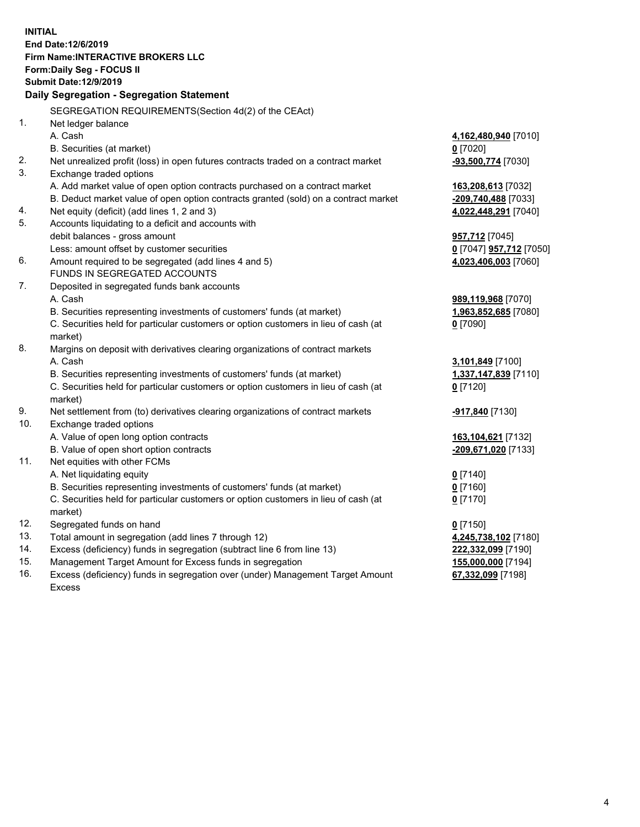**INITIAL End Date:12/6/2019 Firm Name:INTERACTIVE BROKERS LLC Form:Daily Seg - FOCUS II Submit Date:12/9/2019 Daily Segregation - Segregation Statement** SEGREGATION REQUIREMENTS(Section 4d(2) of the CEAct) 1. Net ledger balance A. Cash **4,162,480,940** [7010] B. Securities (at market) **0** [7020] 2. Net unrealized profit (loss) in open futures contracts traded on a contract market **-93,500,774** [7030] 3. Exchange traded options A. Add market value of open option contracts purchased on a contract market **163,208,613** [7032] B. Deduct market value of open option contracts granted (sold) on a contract market **-209,740,488** [7033] 4. Net equity (deficit) (add lines 1, 2 and 3) **4,022,448,291** [7040] 5. Accounts liquidating to a deficit and accounts with debit balances - gross amount **957,712** [7045] Less: amount offset by customer securities **0** [7047] **957,712** [7050] 6. Amount required to be segregated (add lines 4 and 5) **4,023,406,003** [7060] FUNDS IN SEGREGATED ACCOUNTS 7. Deposited in segregated funds bank accounts A. Cash **989,119,968** [7070] B. Securities representing investments of customers' funds (at market) **1,963,852,685** [7080] C. Securities held for particular customers or option customers in lieu of cash (at market) **0** [7090] 8. Margins on deposit with derivatives clearing organizations of contract markets A. Cash **3,101,849** [7100] B. Securities representing investments of customers' funds (at market) **1,337,147,839** [7110] C. Securities held for particular customers or option customers in lieu of cash (at market) **0** [7120] 9. Net settlement from (to) derivatives clearing organizations of contract markets **-917,840** [7130] 10. Exchange traded options A. Value of open long option contracts **163,104,621** [7132] B. Value of open short option contracts **-209,671,020** [7133] 11. Net equities with other FCMs A. Net liquidating equity **0** [7140] B. Securities representing investments of customers' funds (at market) **0** [7160] C. Securities held for particular customers or option customers in lieu of cash (at market) **0** [7170] 12. Segregated funds on hand **0** [7150] 13. Total amount in segregation (add lines 7 through 12) **4,245,738,102** [7180] 14. Excess (deficiency) funds in segregation (subtract line 6 from line 13) **222,332,099** [7190] 15. Management Target Amount for Excess funds in segregation **155,000,000** [7194] **67,332,099** [7198]

16. Excess (deficiency) funds in segregation over (under) Management Target Amount Excess